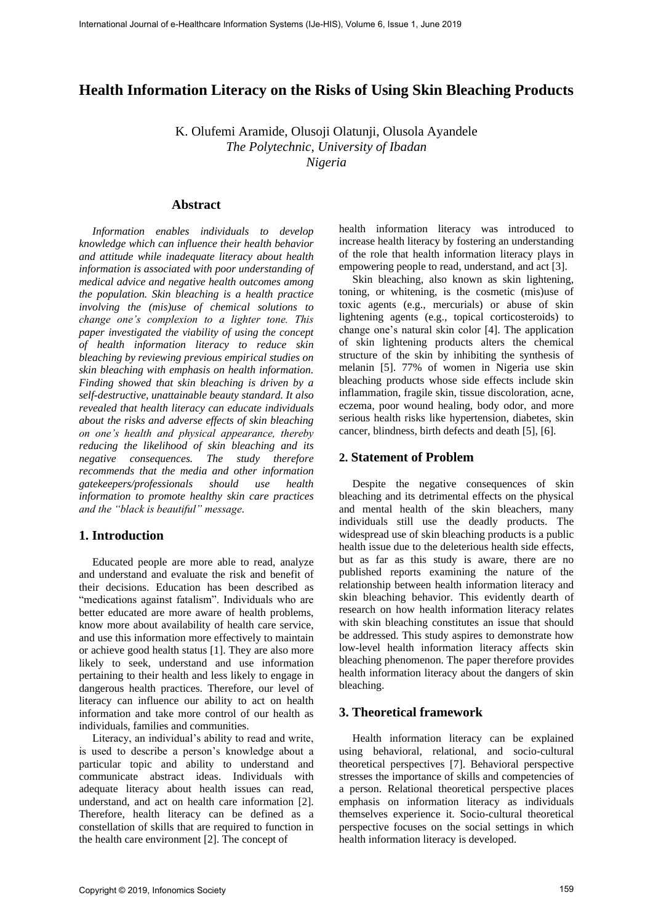# **Health Information Literacy on the Risks of Using Skin Bleaching Products**

K. Olufemi Aramide, Olusoji Olatunji, Olusola Ayandele *The Polytechnic, University of Ibadan Nigeria*

### **Abstract**

*Information enables individuals to develop knowledge which can influence their health behavior and attitude while inadequate literacy about health information is associated with poor understanding of medical advice and negative health outcomes among the population. Skin bleaching is a health practice involving the (mis)use of chemical solutions to change one's complexion to a lighter tone. This paper investigated the viability of using the concept of health information literacy to reduce skin bleaching by reviewing previous empirical studies on skin bleaching with emphasis on health information. Finding showed that skin bleaching is driven by a self-destructive, unattainable beauty standard. It also revealed that health literacy can educate individuals about the risks and adverse effects of skin bleaching on one's health and physical appearance, thereby reducing the likelihood of skin bleaching and its negative consequences. The study therefore recommends that the media and other information gatekeepers/professionals should use health information to promote healthy skin care practices and the "black is beautiful" message.*  **IFersional Journal of e-Healthcare Control Journal of Exhibit Systems (IJe-HIS) Systems (ITem Systems (ITem Systems (ITem Systems (ITem Systems (ITem Systems (ITem Systems (ITem Systems (ITem Systems (ITem Systems (ITem** 

### **1. Introduction**

Educated people are more able to read, analyze and understand and evaluate the risk and benefit of their decisions. Education has been described as "medications against fatalism". Individuals who are better educated are more aware of health problems, know more about availability of health care service, and use this information more effectively to maintain or achieve good health status [1]. They are also more likely to seek, understand and use information pertaining to their health and less likely to engage in dangerous health practices. Therefore, our level of literacy can influence our ability to act on health information and take more control of our health as individuals, families and communities.

Literacy, an individual's ability to read and write, is used to describe a person's knowledge about a particular topic and ability to understand and communicate abstract ideas. Individuals with adequate literacy about health issues can read, understand, and act on health care information [2]. Therefore, health literacy can be defined as a constellation of skills that are required to function in the health care environment [2]. The concept of

health information literacy was introduced to increase health literacy by fostering an understanding of the role that health information literacy plays in empowering people to read, understand, and act [3].

Skin bleaching, also known as skin lightening, toning, or whitening, is the cosmetic (mis)use of toxic agents (e.g., mercurials) or abuse of skin lightening agents (e.g., topical corticosteroids) to change one's natural skin color [4]. The application of skin lightening products alters the chemical structure of the skin by inhibiting the synthesis of melanin [5]. 77% of women in Nigeria use skin bleaching products whose side effects include skin inflammation, fragile skin, tissue discoloration, acne, eczema, poor wound healing, body odor, and more serious health risks like hypertension, diabetes, skin cancer, blindness, birth defects and death [5], [6].

#### **2. Statement of Problem**

Despite the negative consequences of skin bleaching and its detrimental effects on the physical and mental health of the skin bleachers, many individuals still use the deadly products. The widespread use of skin bleaching products is a public health issue due to the deleterious health side effects, but as far as this study is aware, there are no published reports examining the nature of the relationship between health information literacy and skin bleaching behavior. This evidently dearth of research on how health information literacy relates with skin bleaching constitutes an issue that should be addressed. This study aspires to demonstrate how low-level health information literacy affects skin bleaching phenomenon. The paper therefore provides health information literacy about the dangers of skin bleaching.

#### **3. Theoretical framework**

Health information literacy can be explained using behavioral, relational, and socio-cultural theoretical perspectives [7]. Behavioral perspective stresses the importance of skills and competencies of a person. Relational theoretical perspective places emphasis on information literacy as individuals themselves experience it. Socio-cultural theoretical perspective focuses on the social settings in which health information literacy is developed.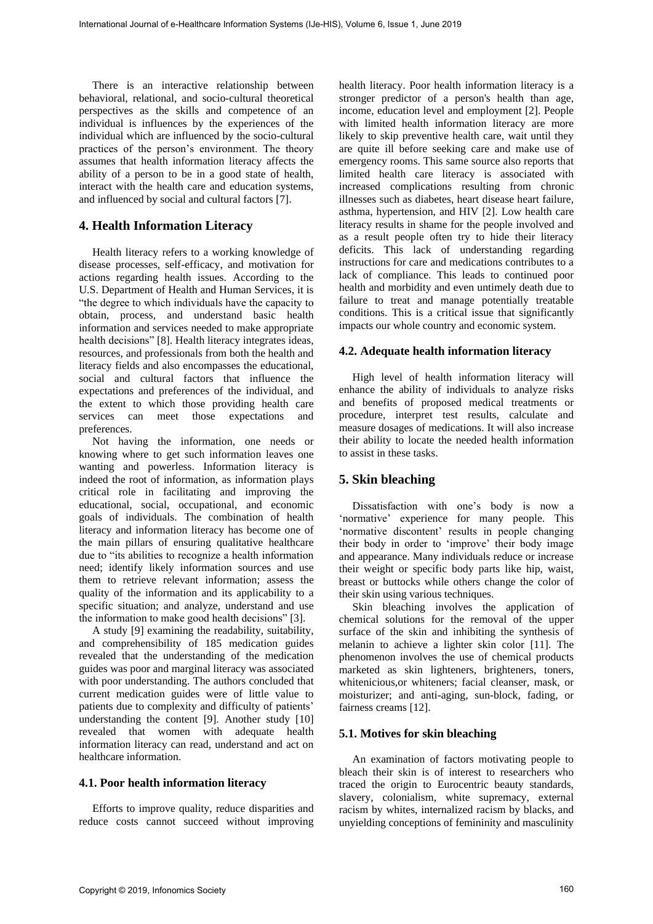There is an interactive relationship between behavioral, relational, and socio-cultural theoretical perspectives as the skills and competence of an individual is influences by the experiences of the individual which are influenced by the socio-cultural practices of the person's environment. The theory assumes that health information literacy affects the ability of a person to be in a good state of health, interact with the health care and education systems, and influenced by social and cultural factors [7].

## **4. Health Information Literacy**

Health literacy refers to a working knowledge of disease processes, self-efficacy, and motivation for actions regarding health issues. According to the U.S. Department of Health and Human Services, it is "the degree to which individuals have the capacity to obtain, process, and understand basic health information and services needed to make appropriate health decisions" [8]. Health literacy integrates ideas, resources, and professionals from both the health and literacy fields and also encompasses the educational, social and cultural factors that influence the expectations and preferences of the individual, and the extent to which those providing health care services can meet those expectations and preferences.

Not having the information, one needs or knowing where to get such information leaves one wanting and powerless. Information literacy is indeed the root of information, as information plays critical role in facilitating and improving the educational, social, occupational, and economic goals of individuals. The combination of health literacy and information literacy has become one of the main pillars of ensuring qualitative healthcare due to "its abilities to recognize a health information need; identify likely information sources and use them to retrieve relevant information; assess the quality of the information and its applicability to a specific situation; and analyze, understand and use the information to make good health decisions" [3].

A study [9] examining the readability, suitability, and comprehensibility of 185 medication guides revealed that the understanding of the medication guides was poor and marginal literacy was associated with poor understanding. The authors concluded that current medication guides were of little value to patients due to complexity and difficulty of patients' understanding the content [9]. Another study [10] revealed that women with adequate health information literacy can read, understand and act on healthcare information.

#### **4.1. Poor health information literacy**

Efforts to improve quality, reduce disparities and reduce costs cannot succeed without improving

health literacy. Poor health information literacy is a stronger predictor of a person's health than age, income, education level and employment [2]. People with limited health information literacy are more likely to skip preventive health care, wait until they are quite ill before seeking care and make use of emergency rooms. This same source also reports that limited health care literacy is associated with increased complications resulting from chronic illnesses such as diabetes, heart disease heart failure, asthma, hypertension, and HIV [2]. Low health care literacy results in shame for the people involved and as a result people often try to hide their literacy deficits. This lack of understanding regarding instructions for care and medications contributes to a lack of compliance. This leads to continued poor health and morbidity and even untimely death due to failure to treat and manage potentially treatable conditions. This is a critical issue that significantly impacts our whole country and economic system. Fraction Journal of Exchange international International System Control internal of Exchange internal of Exchange internal of the Bandari and System System internal of the Bandari and System System Control internal of the

### **4.2. Adequate health information literacy**

High level of health information literacy will enhance the ability of individuals to analyze risks and benefits of proposed medical treatments or procedure, interpret test results, calculate and measure dosages of medications. It will also increase their ability to locate the needed health information to assist in these tasks.

## **5. Skin bleaching**

Dissatisfaction with one's body is now a 'normative' experience for many people. This 'normative discontent' results in people changing their body in order to 'improve' their body image and appearance. Many individuals reduce or increase their weight or specific body parts like hip, waist, breast or buttocks while others change the color of their skin using various techniques.

Skin bleaching involves the application of chemical solutions for the removal of the upper surface of the skin and inhibiting the synthesis of melanin to achieve a lighter skin color [11]. The phenomenon involves the use of chemical products marketed as skin lighteners, brighteners, toners, whitenicious,or whiteners; facial cleanser, mask, or moisturizer; and anti-aging, sun-block, fading, or fairness creams [12].

## **5.1. Motives for skin bleaching**

An examination of factors motivating people to bleach their skin is of interest to researchers who traced the origin to Eurocentric beauty standards, slavery, colonialism, white supremacy, external racism by whites, internalized racism by blacks, and unyielding conceptions of femininity and masculinity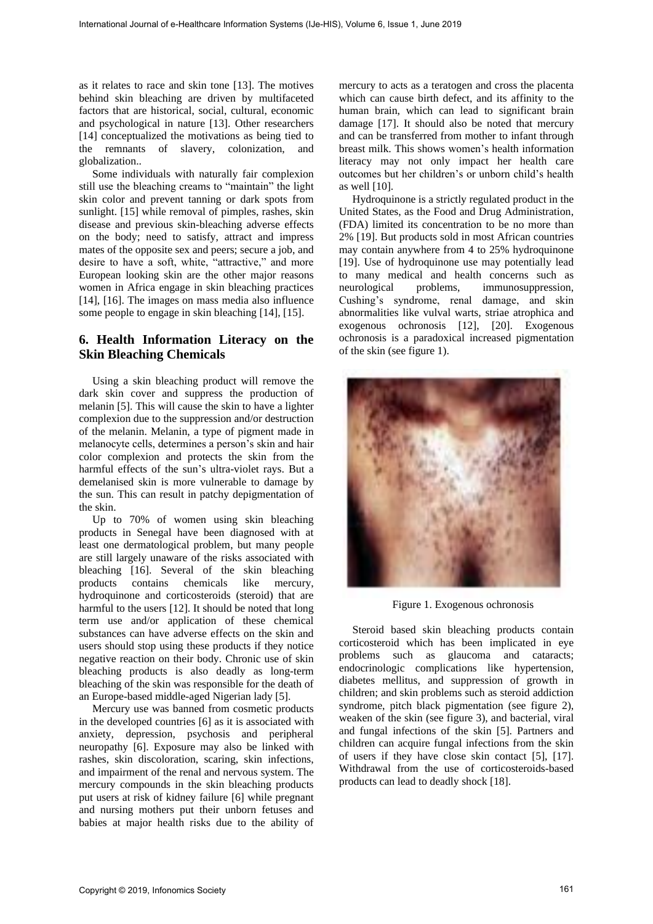as it relates to race and skin tone [13]. The motives behind skin bleaching are driven by multifaceted factors that are historical, social, cultural, economic and psychological in nature [13]. Other researchers [14] conceptualized the motivations as being tied to the remnants of slavery, colonization, and globalization..

Some individuals with naturally fair complexion still use the bleaching creams to "maintain" the light skin color and prevent tanning or dark spots from sunlight. [15] while removal of pimples, rashes, skin disease and previous skin-bleaching adverse effects on the body; need to satisfy, attract and impress mates of the opposite sex and peers; secure a job, and desire to have a soft, white, "attractive," and more European looking skin are the other major reasons women in Africa engage in skin bleaching practices [14], [16]. The images on mass media also influence some people to engage in skin bleaching [14], [15].

# **6. Health Information Literacy on the Skin Bleaching Chemicals**

Using a skin bleaching product will remove the dark skin cover and suppress the production of melanin [5]. This will cause the skin to have a lighter complexion due to the suppression and/or destruction of the melanin. Melanin, a type of pigment made in melanocyte cells, determines a person's skin and hair color complexion and protects the skin from the harmful effects of the sun's ultra-violet rays. But a demelanised skin is more vulnerable to damage by the sun. This can result in patchy depigmentation of the skin.

Up to 70% of women using skin bleaching products in Senegal have been diagnosed with at least one dermatological problem, but many people are still largely unaware of the risks associated with bleaching [16]. Several of the skin bleaching products contains chemicals like mercury, hydroquinone and corticosteroids (steroid) that are harmful to the users [12]. It should be noted that long term use and/or application of these chemical substances can have adverse effects on the skin and users should stop using these products if they notice negative reaction on their body. Chronic use of skin bleaching products is also deadly as long-term bleaching of the skin was responsible for the death of an Europe-based middle-aged Nigerian lady [5].

Mercury use was banned from cosmetic products in the developed countries [6] as it is associated with anxiety, depression, psychosis and peripheral neuropathy [6]. Exposure may also be linked with rashes, skin discoloration, scaring, skin infections, and impairment of the renal and nervous system. The mercury compounds in the skin bleaching products put users at risk of kidney failure [6] while pregnant and nursing mothers put their unborn fetuses and babies at major health risks due to the ability of

mercury to acts as a teratogen and cross the placenta which can cause birth defect, and its affinity to the human brain, which can lead to significant brain damage [17]. It should also be noted that mercury and can be transferred from mother to infant through breast milk. This shows women's health information literacy may not only impact her health care outcomes but her children's or unborn child's health as well [10].

Hydroquinone is a strictly regulated product in the United States, as the Food and Drug Administration, (FDA) limited its concentration to be no more than 2% [19]. But products sold in most African countries may contain anywhere from 4 to 25% hydroquinone [19]. Use of hydroquinone use may potentially lead to many medical and health concerns such as neurological problems, immunosuppression, Cushing's syndrome, renal damage, and skin abnormalities like vulval warts, striae atrophica and exogenous ochronosis [12], [20]. Exogenous ochronosis is a paradoxical increased pigmentation of the skin (see figure 1).



Figure 1. Exogenous ochronosis

Steroid based skin bleaching products contain corticosteroid which has been implicated in eye problems such as glaucoma and cataracts; endocrinologic complications like hypertension, diabetes mellitus, and suppression of growth in children; and skin problems such as steroid addiction syndrome, pitch black pigmentation (see figure 2), weaken of the skin (see figure 3), and bacterial, viral and fungal infections of the skin [5]. Partners and children can acquire fungal infections from the skin of users if they have close skin contact [5], [17]. Withdrawal from the use of corticosteroids-based products can lead to deadly shock [18].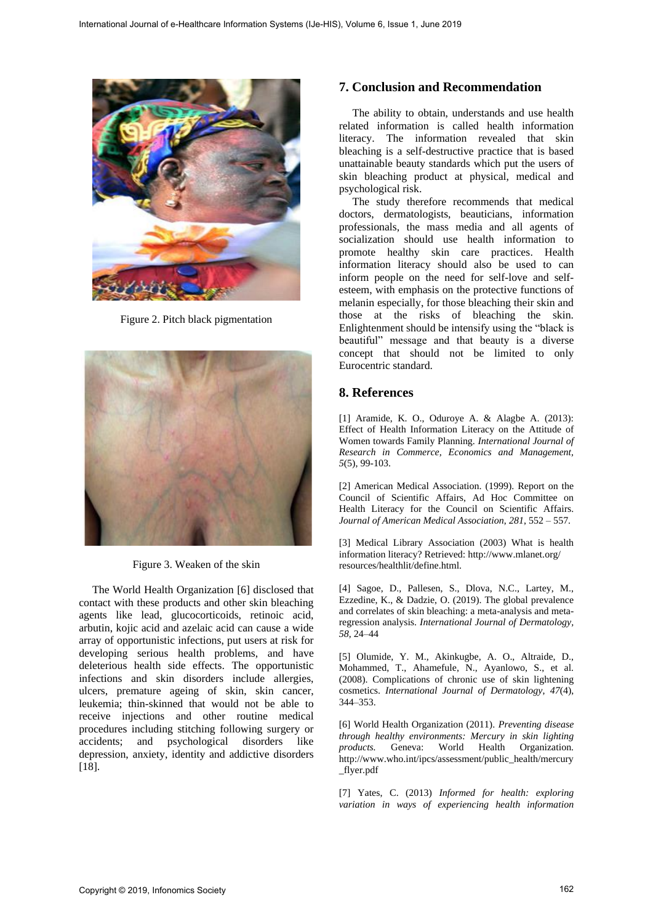

Figure 2. Pitch black pigmentation



Figure 3. Weaken of the skin

The World Health Organization [6] disclosed that contact with these products and other skin bleaching agents like lead, glucocorticoids, retinoic acid, arbutin, kojic acid and azelaic acid can cause a wide array of opportunistic infections, put users at risk for developing serious health problems, and have deleterious health side effects. The opportunistic infections and skin disorders include allergies, ulcers, premature ageing of skin, skin cancer, leukemia; thin-skinned that would not be able to receive injections and other routine medical procedures including stitching following surgery or accidents; and psychological disorders like depression, anxiety, identity and addictive disorders [18].

### **7. Conclusion and Recommendation**

The ability to obtain, understands and use health related information is called health information literacy. The information revealed that skin bleaching is a self-destructive practice that is based unattainable beauty standards which put the users of skin bleaching product at physical, medical and psychological risk.

The study therefore recommends that medical doctors, dermatologists, beauticians, information professionals, the mass media and all agents of socialization should use health information to promote healthy skin care practices. Health information literacy should also be used to can inform people on the need for self-love and selfesteem, with emphasis on the protective functions of melanin especially, for those bleaching their skin and those at the risks of bleaching the skin. Enlightenment should be intensify using the "black is beautiful" message and that beauty is a diverse concept that should not be limited to only Eurocentric standard.

## **8. References**

[1] Aramide, K. O., Oduroye A. & Alagbe A. (2013): Effect of Health Information Literacy on the Attitude of Women towards Family Planning. *International Journal of Research in Commerce, Economics and Management, 5*(5), 99-103.

[2] American Medical Association. (1999). Report on the Council of Scientific Affairs, Ad Hoc Committee on Health Literacy for the Council on Scientific Affairs. *Journal of American Medical Association*, *281*, 552 – 557.

[3] Medical Library Association (2003) What is health information literacy? Retrieved: http://www.mlanet.org/ resources/healthlit/define.html.

[4] Sagoe, D., Pallesen, S., Dlova, N.C., Lartey, M., Ezzedine, K., & Dadzie, O. (2019). The global prevalence and correlates of skin bleaching: a meta-analysis and metaregression analysis. *International Journal of Dermatology, 58*, 24–44

[5] Olumide, Y. M., Akinkugbe, A. O., Altraide, D., Mohammed, T., Ahamefule, N., Ayanlowo, S., et al. (2008). Complications of chronic use of skin lightening cosmetics. *International Journal of Dermatology*, *47*(4), 344–353.

[6] World Health Organization (2011). *Preventing disease through healthy environments: Mercury in skin lighting products.* Geneva: World Health Organization. http://www.who.int/ipcs/assessment/public\_health/mercury \_flyer.pdf

[7] Yates, C. (2013) *Informed for health: exploring variation in ways of experiencing health information*